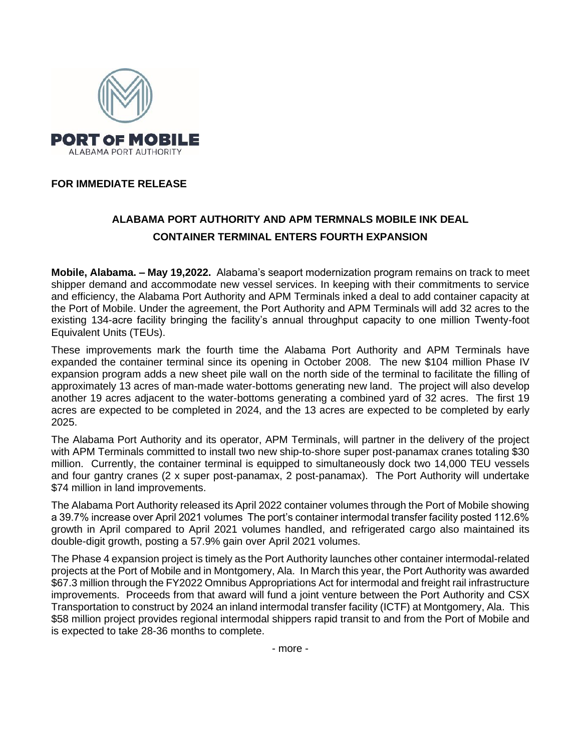

## **FOR IMMEDIATE RELEASE**

## **ALABAMA PORT AUTHORITY AND APM TERMNALS MOBILE INK DEAL CONTAINER TERMINAL ENTERS FOURTH EXPANSION**

**Mobile, Alabama. – May 19,2022.** Alabama's seaport modernization program remains on track to meet shipper demand and accommodate new vessel services. In keeping with their commitments to service and efficiency, the Alabama Port Authority and APM Terminals inked a deal to add container capacity at the Port of Mobile. Under the agreement, the Port Authority and APM Terminals will add 32 acres to the existing 134-acre facility bringing the facility's annual throughput capacity to one million Twenty-foot Equivalent Units (TEUs).

These improvements mark the fourth time the Alabama Port Authority and APM Terminals have expanded the container terminal since its opening in October 2008. The new \$104 million Phase IV expansion program adds a new sheet pile wall on the north side of the terminal to facilitate the filling of approximately 13 acres of man-made water-bottoms generating new land. The project will also develop another 19 acres adjacent to the water-bottoms generating a combined yard of 32 acres. The first 19 acres are expected to be completed in 2024, and the 13 acres are expected to be completed by early 2025.

The Alabama Port Authority and its operator, APM Terminals, will partner in the delivery of the project with APM Terminals committed to install two new ship-to-shore super post-panamax cranes totaling \$30 million. Currently, the container terminal is equipped to simultaneously dock two 14,000 TEU vessels and four gantry cranes (2 x super post-panamax, 2 post-panamax). The Port Authority will undertake \$74 million in land improvements.

The Alabama Port Authority released its April 2022 container volumes through the Port of Mobile showing a 39.7% increase over April 2021 volumes The port's container intermodal transfer facility posted 112.6% growth in April compared to April 2021 volumes handled, and refrigerated cargo also maintained its double-digit growth, posting a 57.9% gain over April 2021 volumes.

The Phase 4 expansion project is timely as the Port Authority launches other container intermodal-related projects at the Port of Mobile and in Montgomery, Ala. In March this year, the Port Authority was awarded \$67.3 million through the FY2022 Omnibus Appropriations Act for intermodal and freight rail infrastructure improvements. Proceeds from that award will fund a joint venture between the Port Authority and CSX Transportation to construct by 2024 an inland intermodal transfer facility (ICTF) at Montgomery, Ala. This \$58 million project provides regional intermodal shippers rapid transit to and from the Port of Mobile and is expected to take 28-36 months to complete.